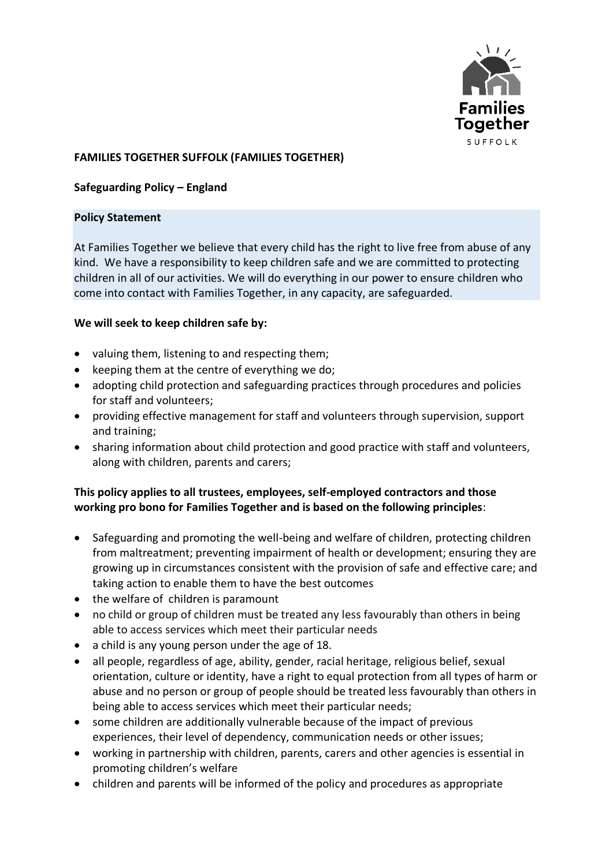

# **FAMILIES TOGETHER SUFFOLK (FAMILIES TOGETHER)**

# **Safeguarding Policy – England**

### **Policy Statement**

At Families Together we believe that every child has the right to live free from abuse of any kind. We have a responsibility to keep children safe and we are committed to protecting children in all of our activities. We will do everything in our power to ensure children who come into contact with Families Together, in any capacity, are safeguarded.

### **We will seek to keep children safe by:**

- valuing them, listening to and respecting them;
- keeping them at the centre of everything we do;
- adopting child protection and safeguarding practices through procedures and policies for staff and volunteers;
- providing effective management for staff and volunteers through supervision, support and training;
- sharing information about child protection and good practice with staff and volunteers, along with children, parents and carers;

# **This policy applies to all trustees, employees, self-employed contractors and those working pro bono for Families Together and is based on the following principles**:

- Safeguarding and promoting the well-being and welfare of children, protecting children from maltreatment; preventing impairment of health or development; ensuring they are growing up in circumstances consistent with the provision of safe and effective care; and taking action to enable them to have the best outcomes
- the welfare of children is paramount
- no child or group of children must be treated any less favourably than others in being able to access services which meet their particular needs
- a child is any young person under the age of 18.
- all people, regardless of age, ability, gender, racial heritage, religious belief, sexual orientation, culture or identity, have a right to equal protection from all types of harm or abuse and no person or group of people should be treated less favourably than others in being able to access services which meet their particular needs;
- some children are additionally vulnerable because of the impact of previous experiences, their level of dependency, communication needs or other issues;
- working in partnership with children, parents, carers and other agencies is essential in promoting children's welfare
- children and parents will be informed of the policy and procedures as appropriate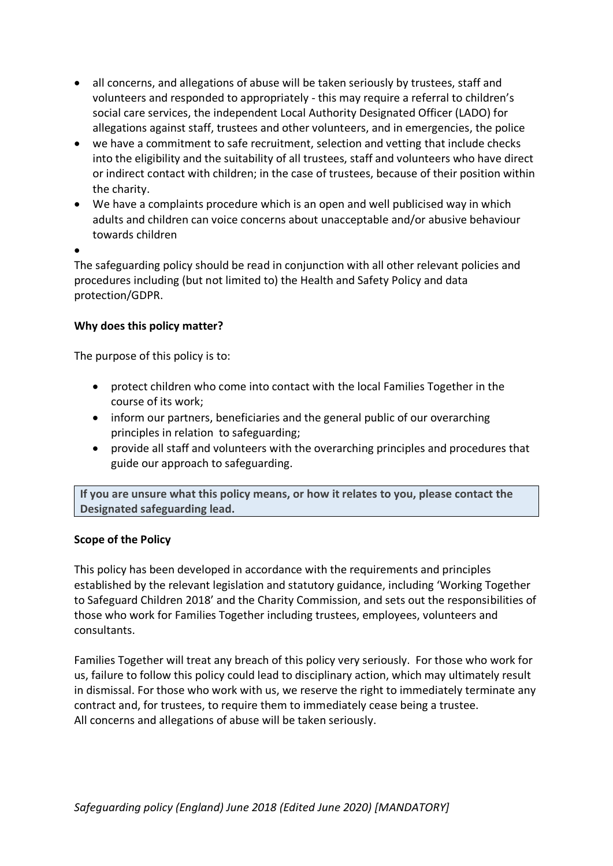- all concerns, and allegations of abuse will be taken seriously by trustees, staff and volunteers and responded to appropriately - this may require a referral to children's social care services, the independent Local Authority Designated Officer (LADO) for allegations against staff, trustees and other volunteers, and in emergencies, the police
- we have a commitment to safe recruitment, selection and vetting that include checks into the eligibility and the suitability of all trustees, staff and volunteers who have direct or indirect contact with children; in the case of trustees, because of their position within the charity.
- We have a complaints procedure which is an open and well publicised way in which adults and children can voice concerns about unacceptable and/or abusive behaviour towards children

•

The safeguarding policy should be read in conjunction with all other relevant policies and procedures including (but not limited to) the Health and Safety Policy and data protection/GDPR.

# **Why does this policy matter?**

The purpose of this policy is to:

- protect children who come into contact with the local Families Together in the course of its work;
- inform our partners, beneficiaries and the general public of our overarching principles in relation to safeguarding;
- provide all staff and volunteers with the overarching principles and procedures that guide our approach to safeguarding.

**If you are unsure what this policy means, or how it relates to you, please contact the Designated safeguarding lead.**

# **Scope of the Policy**

This policy has been developed in accordance with the requirements and principles established by the relevant legislation and statutory guidance, including 'Working Together to Safeguard Children 2018' and the Charity Commission, and sets out the responsibilities of those who work for Families Together including trustees, employees, volunteers and consultants.

Families Together will treat any breach of this policy very seriously. For those who work for us, failure to follow this policy could lead to disciplinary action, which may ultimately result in dismissal. For those who work with us, we reserve the right to immediately terminate any contract and, for trustees, to require them to immediately cease being a trustee. All concerns and allegations of abuse will be taken seriously.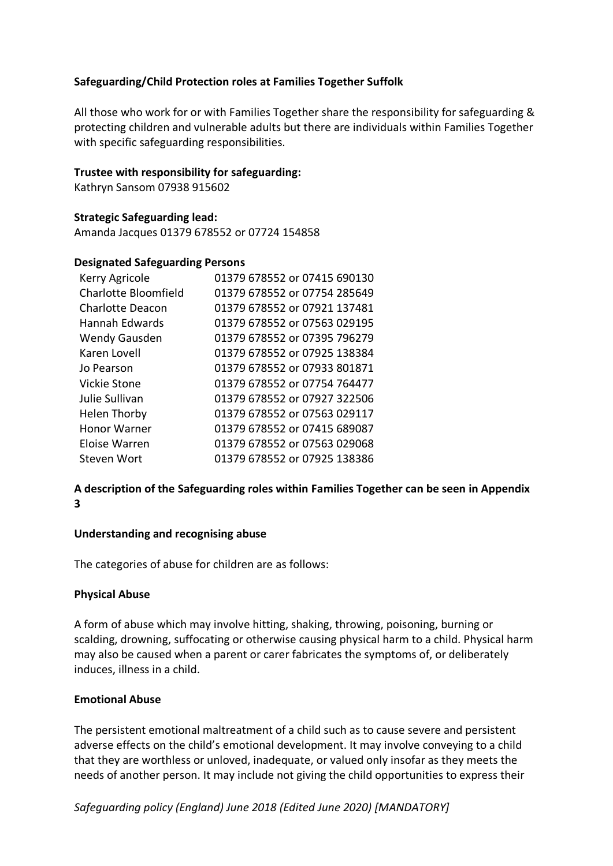# **Safeguarding/Child Protection roles at Families Together Suffolk**

All those who work for or with Families Together share the responsibility for safeguarding & protecting children and vulnerable adults but there are individuals within Families Together with specific safeguarding responsibilities.

### **Trustee with responsibility for safeguarding:**

Kathryn Sansom 07938 915602

#### **Strategic Safeguarding lead:**

Amanda Jacques 01379 678552 or 07724 154858

#### **Designated Safeguarding Persons**

| Kerry Agricole              | 01379 678552 or 07415 690130 |
|-----------------------------|------------------------------|
| <b>Charlotte Bloomfield</b> | 01379 678552 or 07754 285649 |
| <b>Charlotte Deacon</b>     | 01379 678552 or 07921 137481 |
| Hannah Edwards              | 01379 678552 or 07563 029195 |
| Wendy Gausden               | 01379 678552 or 07395 796279 |
| Karen Lovell                | 01379 678552 or 07925 138384 |
| Jo Pearson                  | 01379 678552 or 07933 801871 |
| Vickie Stone                | 01379 678552 or 07754 764477 |
| Julie Sullivan              | 01379 678552 or 07927 322506 |
| <b>Helen Thorby</b>         | 01379 678552 or 07563 029117 |
| <b>Honor Warner</b>         | 01379 678552 or 07415 689087 |
| Eloise Warren               | 01379 678552 or 07563 029068 |
| Steven Wort                 | 01379 678552 or 07925 138386 |

# **A description of the Safeguarding roles within Families Together can be seen in Appendix 3**

### **Understanding and recognising abuse**

The categories of abuse for children are as follows:

### **Physical Abuse**

A form of abuse which may involve hitting, shaking, throwing, poisoning, burning or scalding, drowning, suffocating or otherwise causing physical harm to a child. Physical harm may also be caused when a parent or carer fabricates the symptoms of, or deliberately induces, illness in a child.

### **Emotional Abuse**

The persistent emotional maltreatment of a child such as to cause severe and persistent adverse effects on the child's emotional development. It may involve conveying to a child that they are worthless or unloved, inadequate, or valued only insofar as they meets the needs of another person. It may include not giving the child opportunities to express their

*Safeguarding policy (England) June 2018 (Edited June 2020) [MANDATORY]*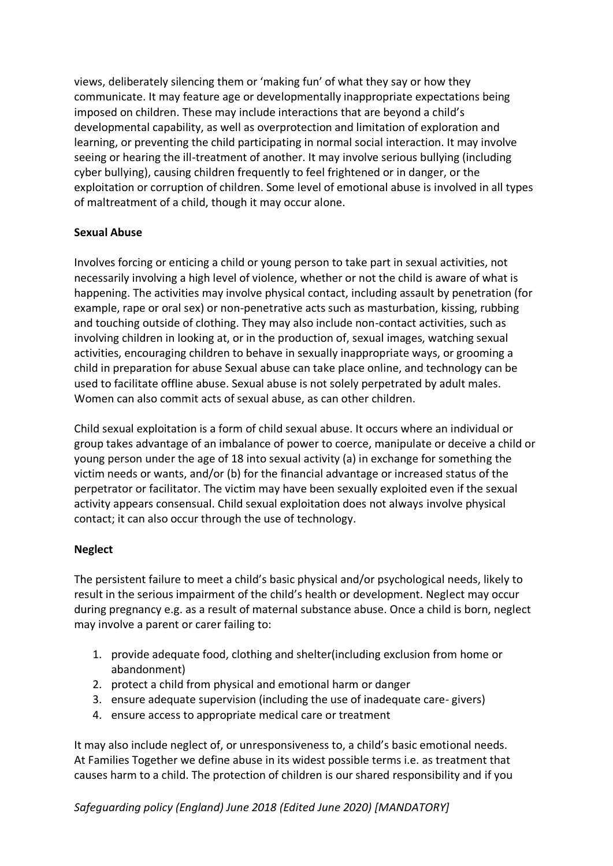views, deliberately silencing them or 'making fun' of what they say or how they communicate. It may feature age or developmentally inappropriate expectations being imposed on children. These may include interactions that are beyond a child's developmental capability, as well as overprotection and limitation of exploration and learning, or preventing the child participating in normal social interaction. It may involve seeing or hearing the ill-treatment of another. It may involve serious bullying (including cyber bullying), causing children frequently to feel frightened or in danger, or the exploitation or corruption of children. Some level of emotional abuse is involved in all types of maltreatment of a child, though it may occur alone.

# **Sexual Abuse**

Involves forcing or enticing a child or young person to take part in sexual activities, not necessarily involving a high level of violence, whether or not the child is aware of what is happening. The activities may involve physical contact, including assault by penetration (for example, rape or oral sex) or non-penetrative acts such as masturbation, kissing, rubbing and touching outside of clothing. They may also include non-contact activities, such as involving children in looking at, or in the production of, sexual images, watching sexual activities, encouraging children to behave in sexually inappropriate ways, or grooming a child in preparation for abuse Sexual abuse can take place online, and technology can be used to facilitate offline abuse. Sexual abuse is not solely perpetrated by adult males. Women can also commit acts of sexual abuse, as can other children.

Child sexual exploitation is a form of child sexual abuse. It occurs where an individual or group takes advantage of an imbalance of power to coerce, manipulate or deceive a child or young person under the age of 18 into sexual activity (a) in exchange for something the victim needs or wants, and/or (b) for the financial advantage or increased status of the perpetrator or facilitator. The victim may have been sexually exploited even if the sexual activity appears consensual. Child sexual exploitation does not always involve physical contact; it can also occur through the use of technology.

# **Neglect**

The persistent failure to meet a child's basic physical and/or psychological needs, likely to result in the serious impairment of the child's health or development. Neglect may occur during pregnancy e.g. as a result of maternal substance abuse. Once a child is born, neglect may involve a parent or carer failing to:

- 1. provide adequate food, clothing and shelter(including exclusion from home or abandonment)
- 2. protect a child from physical and emotional harm or danger
- 3. ensure adequate supervision (including the use of inadequate care- givers)
- 4. ensure access to appropriate medical care or treatment

It may also include neglect of, or unresponsiveness to, a child's basic emotional needs. At Families Together we define abuse in its widest possible terms i.e. as treatment that causes harm to a child. The protection of children is our shared responsibility and if you

*Safeguarding policy (England) June 2018 (Edited June 2020) [MANDATORY]*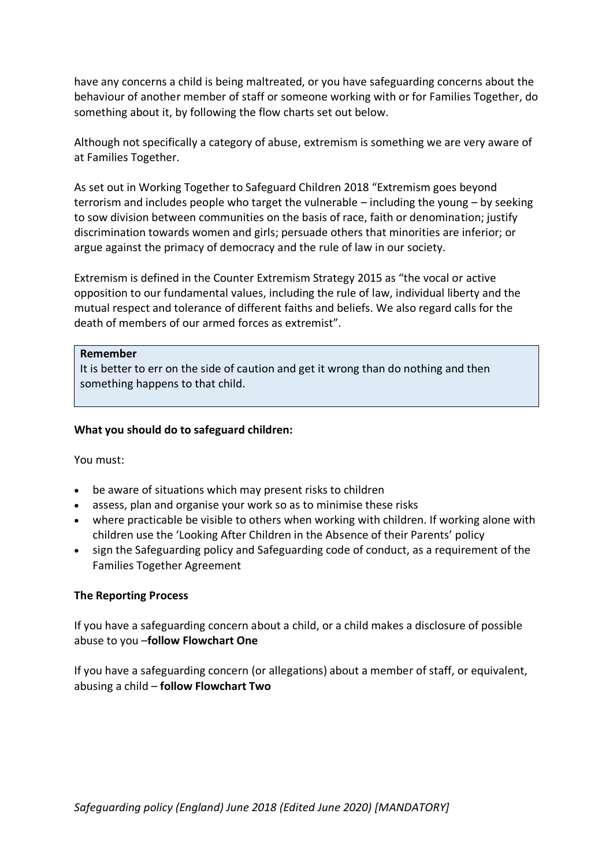have any concerns a child is being maltreated, or you have safeguarding concerns about the behaviour of another member of staff or someone working with or for Families Together, do something about it, by following the flow charts set out below.

Although not specifically a category of abuse, extremism is something we are very aware of at Families Together.

As set out in Working Together to Safeguard Children 2018 "Extremism goes beyond terrorism and includes people who target the vulnerable – including the young – by seeking to sow division between communities on the basis of race, faith or denomination; justify discrimination towards women and girls; persuade others that minorities are inferior; or argue against the primacy of democracy and the rule of law in our society.

Extremism is defined in the Counter Extremism Strategy 2015 as "the vocal or active opposition to our fundamental values, including the rule of law, individual liberty and the mutual respect and tolerance of different faiths and beliefs. We also regard calls for the death of members of our armed forces as extremist".

#### **Remember**

It is better to err on the side of caution and get it wrong than do nothing and then something happens to that child.

### **What you should do to safeguard children:**

You must:

- be aware of situations which may present risks to children
- assess, plan and organise your work so as to minimise these risks
- where practicable be visible to others when working with children. If working alone with children use the 'Looking After Children in the Absence of their Parents' policy
- sign the Safeguarding policy and Safeguarding code of conduct, as a requirement of the Families Together Agreement

### **The Reporting Process**

If you have a safeguarding concern about a child, or a child makes a disclosure of possible abuse to you –**follow Flowchart One**

If you have a safeguarding concern (or allegations) about a member of staff, or equivalent, abusing a child – **follow Flowchart Two**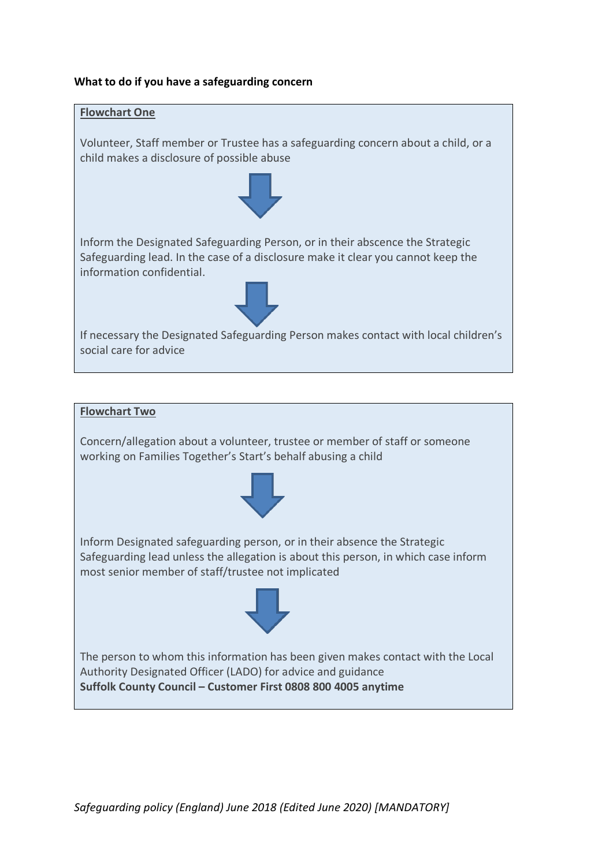### **What to do if you have a safeguarding concern**



#### **Flowchart Two**

Concern/allegation about a volunteer, trustee or member of staff or someone working on Families Together's Start's behalf abusing a child



Inform Designated safeguarding person, or in their absence the Strategic Safeguarding lead unless the allegation is about this person, in which case inform most senior member of staff/trustee not implicated



The person to whom this information has been given makes contact with the Local Authority Designated Officer (LADO) for advice and guidance **Suffolk County Council – Customer First 0808 800 4005 anytime**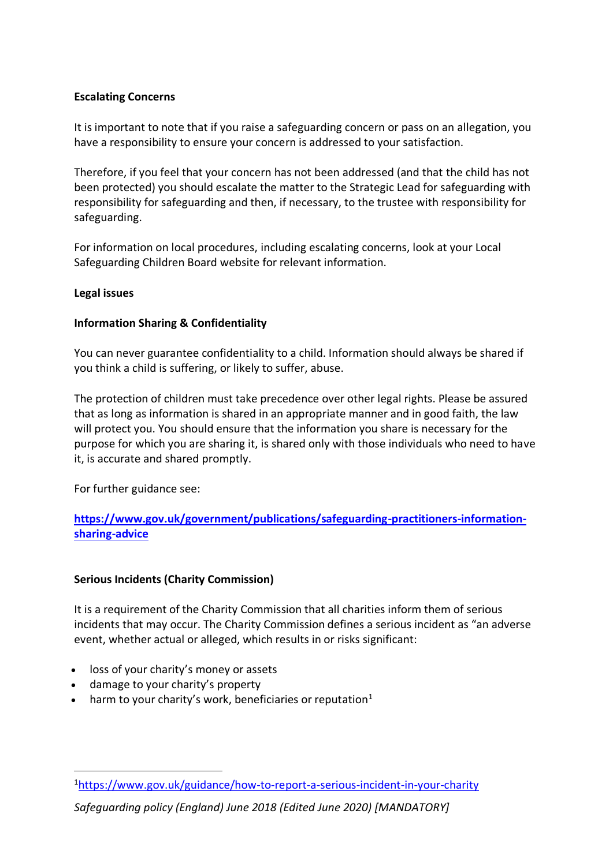# **Escalating Concerns**

It is important to note that if you raise a safeguarding concern or pass on an allegation, you have a responsibility to ensure your concern is addressed to your satisfaction.

Therefore, if you feel that your concern has not been addressed (and that the child has not been protected) you should escalate the matter to the Strategic Lead for safeguarding with responsibility for safeguarding and then, if necessary, to the trustee with responsibility for safeguarding.

For information on local procedures, including escalating concerns, look at your Local Safeguarding Children Board website for relevant information.

# **Legal issues**

# **Information Sharing & Confidentiality**

You can never guarantee confidentiality to a child. Information should always be shared if you think a child is suffering, or likely to suffer, abuse.

The protection of children must take precedence over other legal rights. Please be assured that as long as information is shared in an appropriate manner and in good faith, the law will protect you. You should ensure that the information you share is necessary for the purpose for which you are sharing it, is shared only with those individuals who need to have it, is accurate and shared promptly.

For further guidance see:

**[https://www.gov.uk/government/publications/safeguarding-practitioners-information](https://www.gov.uk/government/publications/safeguarding-practitioners-information-sharing-advice)[sharing-advice](https://www.gov.uk/government/publications/safeguarding-practitioners-information-sharing-advice)**

# **Serious Incidents (Charity Commission)**

It is a requirement of the Charity Commission that all charities inform them of serious incidents that may occur. The Charity Commission defines a serious incident as "an adverse event, whether actual or alleged, which results in or risks significant:

- loss of your charity's money or assets
- damage to your charity's property
- harm to your charity's work, beneficiaries or reputation $1$

<sup>1</sup><https://www.gov.uk/guidance/how-to-report-a-serious-incident-in-your-charity>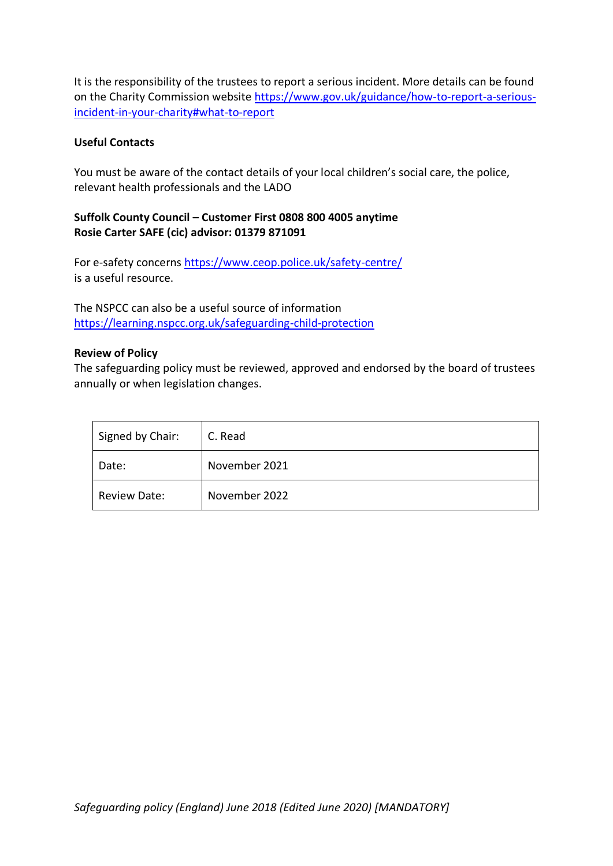It is the responsibility of the trustees to report a serious incident. More details can be found on the Charity Commission website [https://www.gov.uk/guidance/how-to-report-a-serious](https://www.gov.uk/guidance/how-to-report-a-serious-incident-in-your-charity#what-to-report)[incident-in-your-charity#what-to-report](https://www.gov.uk/guidance/how-to-report-a-serious-incident-in-your-charity#what-to-report)

## **Useful Contacts**

You must be aware of the contact details of your local children's social care, the police, relevant health professionals and the LADO

# **Suffolk County Council – Customer First 0808 800 4005 anytime Rosie Carter SAFE (cic) advisor: 01379 871091**

For e-safety concerns<https://www.ceop.police.uk/safety-centre/> is a useful resource.

The NSPCC can also be a useful source of information <https://learning.nspcc.org.uk/safeguarding-child-protection>

### **Review of Policy**

The safeguarding policy must be reviewed, approved and endorsed by the board of trustees annually or when legislation changes.

| Signed by Chair:    | C. Read       |
|---------------------|---------------|
| Date:               | November 2021 |
| <b>Review Date:</b> | November 2022 |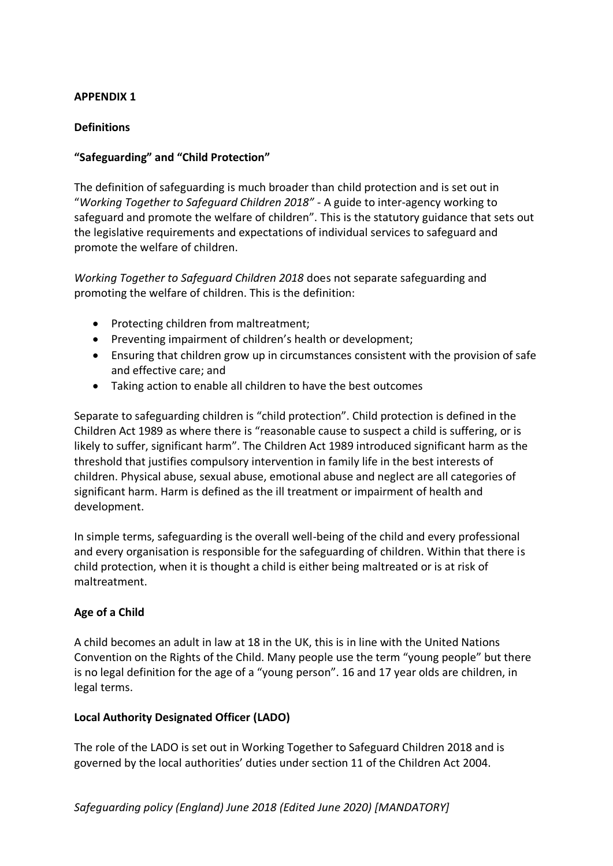## **Definitions**

## **"Safeguarding" and "Child Protection"**

The definition of safeguarding is much broader than child protection and is set out in "*Working Together to Safeguard Children 2018" -* A guide to inter-agency working to safeguard and promote the welfare of children". This is the statutory guidance that sets out the legislative requirements and expectations of individual services to safeguard and promote the welfare of children.

*Working Together to Safeguard Children 2018* does not separate safeguarding and promoting the welfare of children. This is the definition:

- Protecting children from maltreatment;
- Preventing impairment of children's health or development;
- Ensuring that children grow up in circumstances consistent with the provision of safe and effective care; and
- Taking action to enable all children to have the best outcomes

Separate to safeguarding children is "child protection". Child protection is defined in the Children Act 1989 as where there is "reasonable cause to suspect a child is suffering, or is likely to suffer, significant harm". The Children Act 1989 introduced significant harm as the threshold that justifies compulsory intervention in family life in the best interests of children. Physical abuse, sexual abuse, emotional abuse and neglect are all categories of significant harm. Harm is defined as the ill treatment or impairment of health and development.

In simple terms, safeguarding is the overall well-being of the child and every professional and every organisation is responsible for the safeguarding of children. Within that there is child protection, when it is thought a child is either being maltreated or is at risk of maltreatment.

# **Age of a Child**

A child becomes an adult in law at 18 in the UK, this is in line with the United Nations Convention on the Rights of the Child. Many people use the term "young people" but there is no legal definition for the age of a "young person". 16 and 17 year olds are children, in legal terms.

# **Local Authority Designated Officer (LADO)**

The role of the LADO is set out in Working Together to Safeguard Children 2018 and is governed by the local authorities' duties under section 11 of the Children Act 2004.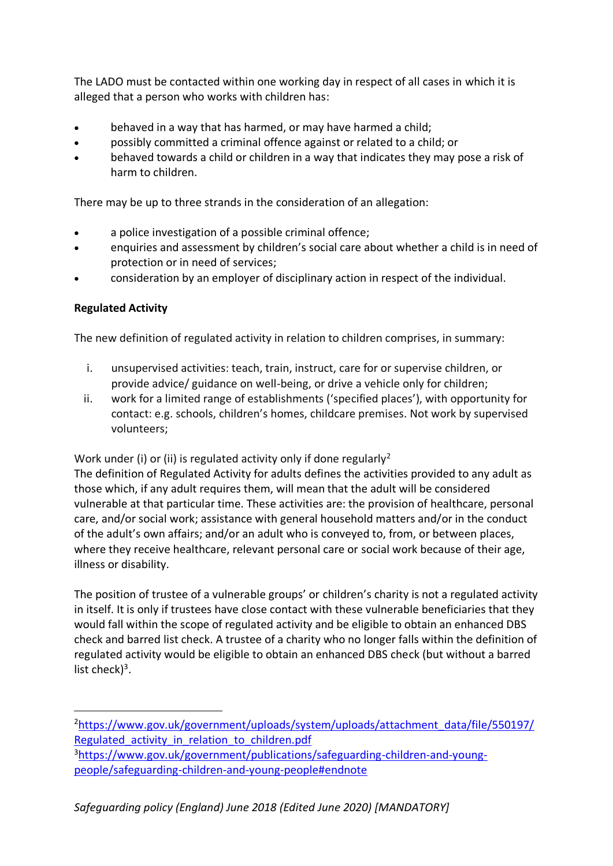The LADO must be contacted within one working day in respect of all cases in which it is alleged that a person who works with children has:

- behaved in a way that has harmed, or may have harmed a child;
- possibly committed a criminal offence against or related to a child; or
- behaved towards a child or children in a way that indicates they may pose a risk of harm to children.

There may be up to three strands in the consideration of an allegation:

- a police investigation of a possible criminal offence;
- enquiries and assessment by children's social care about whether a child is in need of protection or in need of services;
- consideration by an employer of disciplinary action in respect of the individual.

# **Regulated Activity**

The new definition of regulated activity in relation to children comprises, in summary:

- i. unsupervised activities: teach, train, instruct, care for or supervise children, or provide advice/ guidance on well-being, or drive a vehicle only for children;
- ii. work for a limited range of establishments ('specified places'), with opportunity for contact: e.g. schools, children's homes, childcare premises. Not work by supervised volunteers;

Work under (i) or (ii) is regulated activity only if done regularly<sup>2</sup>

The definition of Regulated Activity for adults defines the activities provided to any adult as those which, if any adult requires them, will mean that the adult will be considered vulnerable at that particular time. These activities are: the provision of healthcare, personal care, and/or social work; assistance with general household matters and/or in the conduct of the adult's own affairs; and/or an adult who is conveyed to, from, or between places, where they receive healthcare, relevant personal care or social work because of their age, illness or disability.

The position of trustee of a vulnerable groups' or children's charity is not a regulated activity in itself. It is only if trustees have close contact with these vulnerable beneficiaries that they would fall within the scope of regulated activity and be eligible to obtain an enhanced DBS check and barred list check. A trustee of a charity who no longer falls within the definition of regulated activity would be eligible to obtain an enhanced DBS check (but without a barred list check $)^3$ .

<sup>&</sup>lt;sup>2</sup>[https://www.gov.uk/government/uploads/system/uploads/attachment\\_data/file/550197/](https://www.gov.uk/government/uploads/system/uploads/attachment_data/file/550197/Regulated_activity_in_relation_to_children.pdf) Regulated activity in relation to children.pdf 3[https://www.gov.uk/government/publications/safeguarding-children-and-young-](https://www.gov.uk/government/publications/safeguarding-children-and-young-people/safeguarding-children-and-young-people#endnote)

[people/safeguarding-children-and-young-people#endnote](https://www.gov.uk/government/publications/safeguarding-children-and-young-people/safeguarding-children-and-young-people#endnote)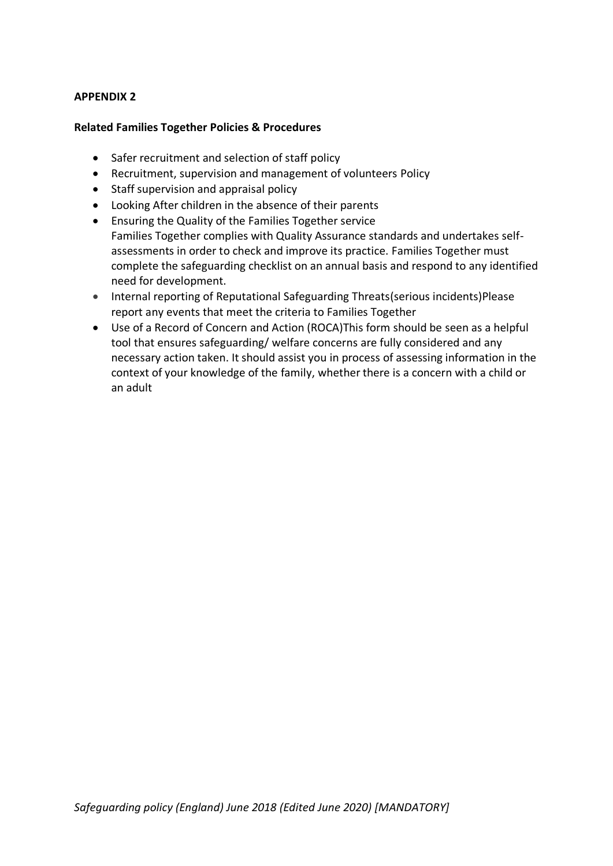### **Related Families Together Policies & Procedures**

- Safer recruitment and selection of staff policy
- Recruitment, supervision and management of volunteers Policy
- Staff supervision and appraisal policy
- Looking After children in the absence of their parents
- Ensuring the Quality of the Families Together service Families Together complies with Quality Assurance standards and undertakes selfassessments in order to check and improve its practice. Families Together must complete the safeguarding checklist on an annual basis and respond to any identified need for development.
- Internal reporting of Reputational Safeguarding Threats(serious incidents)Please report any events that meet the criteria to Families Together
- Use of a Record of Concern and Action (ROCA)This form should be seen as a helpful tool that ensures safeguarding/ welfare concerns are fully considered and any necessary action taken. It should assist you in process of assessing information in the context of your knowledge of the family, whether there is a concern with a child or an adult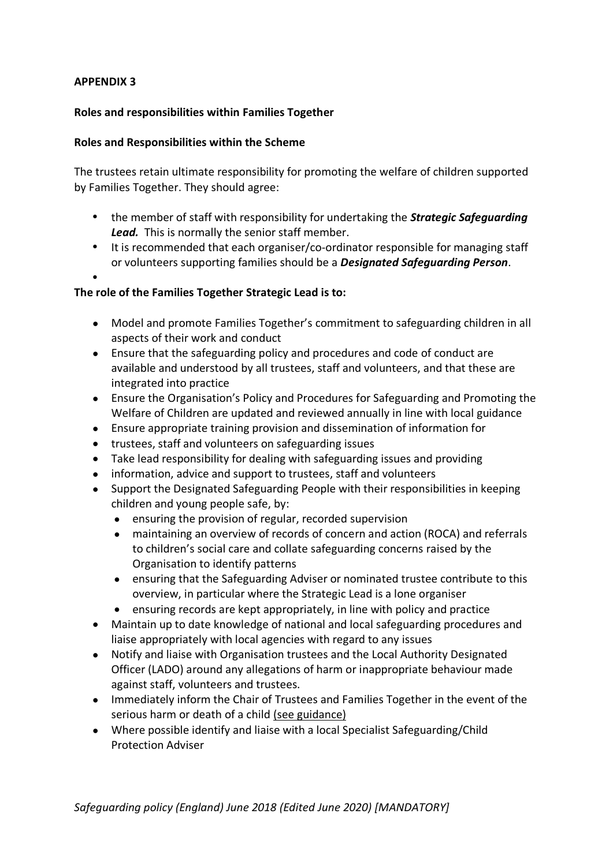# **Roles and responsibilities within Families Together**

# **Roles and Responsibilities within the Scheme**

The trustees retain ultimate responsibility for promoting the welfare of children supported by Families Together. They should agree:

- the member of staff with responsibility for undertaking the *Strategic Safeguarding Lead.* This is normally the senior staff member.
- It is recommended that each organiser/co-ordinator responsible for managing staff or volunteers supporting families should be a *Designated Safeguarding Person*.
- •

# **The role of the Families Together Strategic Lead is to:**

- Model and promote Families Together's commitment to safeguarding children in all aspects of their work and conduct
- Ensure that the safeguarding policy and procedures and code of conduct are available and understood by all trustees, staff and volunteers, and that these are integrated into practice
- Ensure the Organisation's Policy and Procedures for Safeguarding and Promoting the Welfare of Children are updated and reviewed annually in line with local guidance
- Ensure appropriate training provision and dissemination of information for
- trustees, staff and volunteers on safeguarding issues
- Take lead responsibility for dealing with safeguarding issues and providing
- information, advice and support to trustees, staff and volunteers
- Support the Designated Safeguarding People with their responsibilities in keeping children and young people safe, by:
	- ensuring the provision of regular, recorded supervision
	- maintaining an overview of records of concern and action (ROCA) and referrals to children's social care and collate safeguarding concerns raised by the Organisation to identify patterns
	- ensuring that the Safeguarding Adviser or nominated trustee contribute to this overview, in particular where the Strategic Lead is a lone organiser
	- ensuring records are kept appropriately, in line with policy and practice
- Maintain up to date knowledge of national and local safeguarding procedures and liaise appropriately with local agencies with regard to any issues
- Notify and liaise with Organisation trustees and the Local Authority Designated Officer (LADO) around any allegations of harm or inappropriate behaviour made against staff, volunteers and trustees.
- Immediately inform the Chair of Trustees and Families Together in the event of the serious harm or death of a child [\(see guidance\)](https://at.home-start.org.uk/Interact/Pages/Content/Document.aspx?id=2319&SearchId=)
- Where possible identify and liaise with a local Specialist Safeguarding/Child Protection Adviser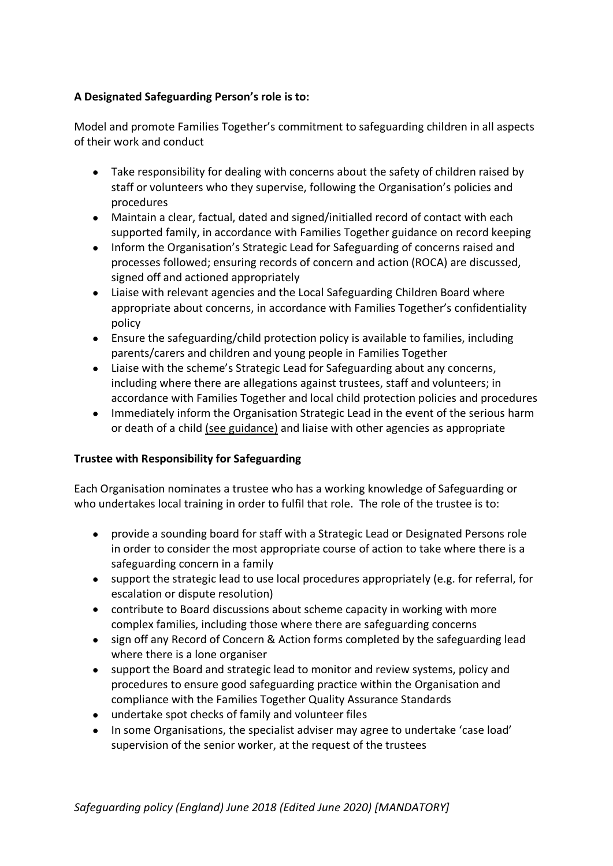# **A Designated Safeguarding Person's role is to:**

Model and promote Families Together's commitment to safeguarding children in all aspects of their work and conduct

- Take responsibility for dealing with concerns about the safety of children raised by staff or volunteers who they supervise, following the Organisation's policies and procedures
- Maintain a clear, factual, dated and signed/initialled record of contact with each supported family, in accordance with Families Together guidance on record keeping
- Inform the Organisation's Strategic Lead for Safeguarding of concerns raised and processes followed; ensuring records of concern and action (ROCA) are discussed, signed off and actioned appropriately
- Liaise with relevant agencies and the Local Safeguarding Children Board where appropriate about concerns, in accordance with Families Together's confidentiality policy
- Ensure the safeguarding/child protection policy is available to families, including parents/carers and children and young people in Families Together
- Liaise with the scheme's Strategic Lead for Safeguarding about any concerns, including where there are allegations against trustees, staff and volunteers; in accordance with Families Together and local child protection policies and procedures
- Immediately inform the Organisation Strategic Lead in the event of the serious harm or death of a child [\(see guidance\)](https://at.home-start.org.uk/Interact/Pages/Content/Document.aspx?id=2319&SearchId=) and liaise with other agencies as appropriate

# **Trustee with Responsibility for Safeguarding**

Each Organisation nominates a trustee who has a working knowledge of Safeguarding or who undertakes local training in order to fulfil that role. The role of the trustee is to:

- provide a sounding board for staff with a Strategic Lead or Designated Persons role in order to consider the most appropriate course of action to take where there is a safeguarding concern in a family
- support the strategic lead to use local procedures appropriately (e.g. for referral, for escalation or dispute resolution)
- contribute to Board discussions about scheme capacity in working with more complex families, including those where there are safeguarding concerns
- sign off any Record of Concern & Action forms completed by the safeguarding lead where there is a lone organiser
- support the Board and strategic lead to monitor and review systems, policy and procedures to ensure good safeguarding practice within the Organisation and compliance with the Families Together Quality Assurance Standards
- undertake spot checks of family and volunteer files
- In some Organisations, the specialist adviser may agree to undertake 'case load' supervision of the senior worker, at the request of the trustees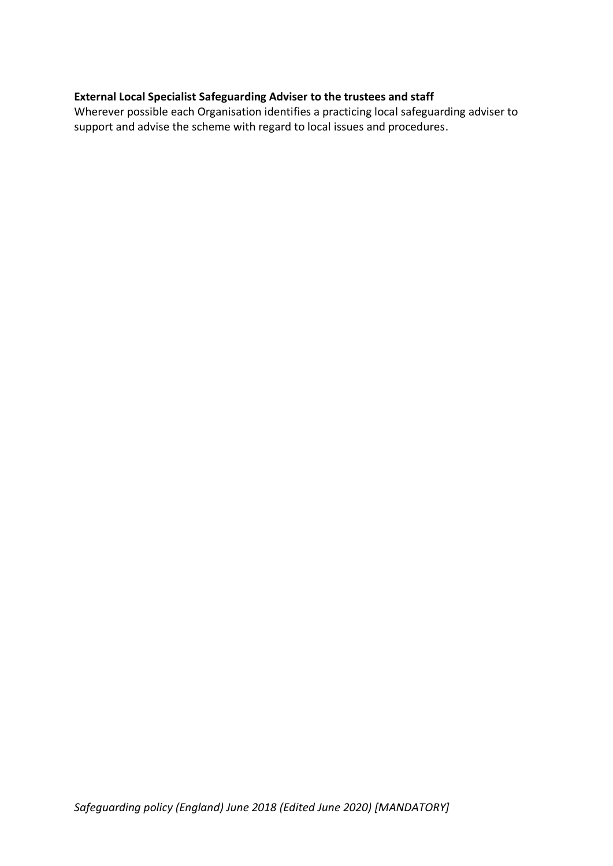# **External Local Specialist Safeguarding Adviser to the trustees and staff**

Wherever possible each Organisation identifies a practicing local safeguarding adviser to support and advise the scheme with regard to local issues and procedures.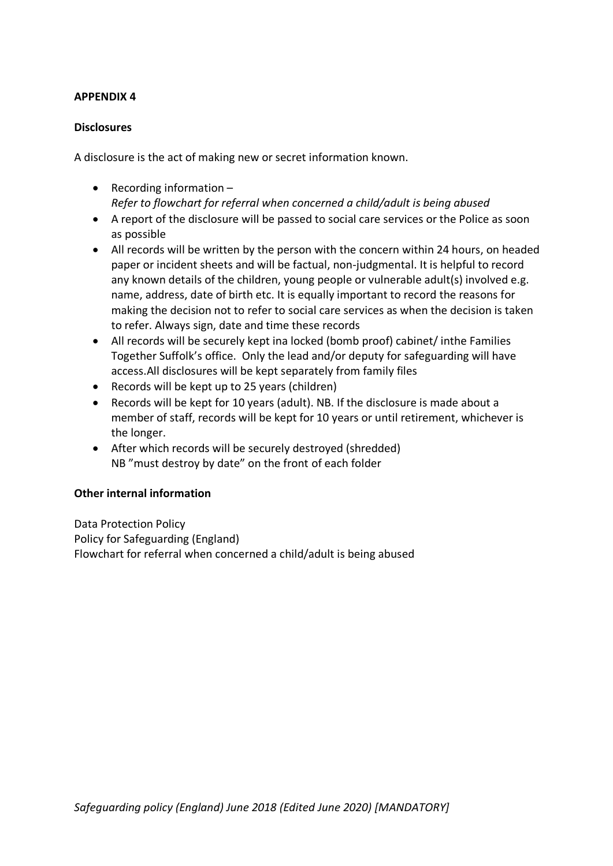### **Disclosures**

A disclosure is the act of making new or secret information known.

- Recording information *Refer to flowchart for referral when concerned a child/adult is being abused*
- A report of the disclosure will be passed to social care services or the Police as soon as possible
- All records will be written by the person with the concern within 24 hours, on headed paper or incident sheets and will be factual, non-judgmental. It is helpful to record any known details of the children, young people or vulnerable adult(s) involved e.g. name, address, date of birth etc. It is equally important to record the reasons for making the decision not to refer to social care services as when the decision is taken to refer. Always sign, date and time these records
- All records will be securely kept ina locked (bomb proof) cabinet/ inthe Families Together Suffolk's office. Only the lead and/or deputy for safeguarding will have access.All disclosures will be kept separately from family files
- Records will be kept up to 25 years (children)
- Records will be kept for 10 years (adult). NB. If the disclosure is made about a member of staff, records will be kept for 10 years or until retirement, whichever is the longer.
- After which records will be securely destroyed (shredded) NB "must destroy by date" on the front of each folder

# **Other internal information**

Data Protection Policy Policy for Safeguarding (England) Flowchart for referral when concerned a child/adult is being abused